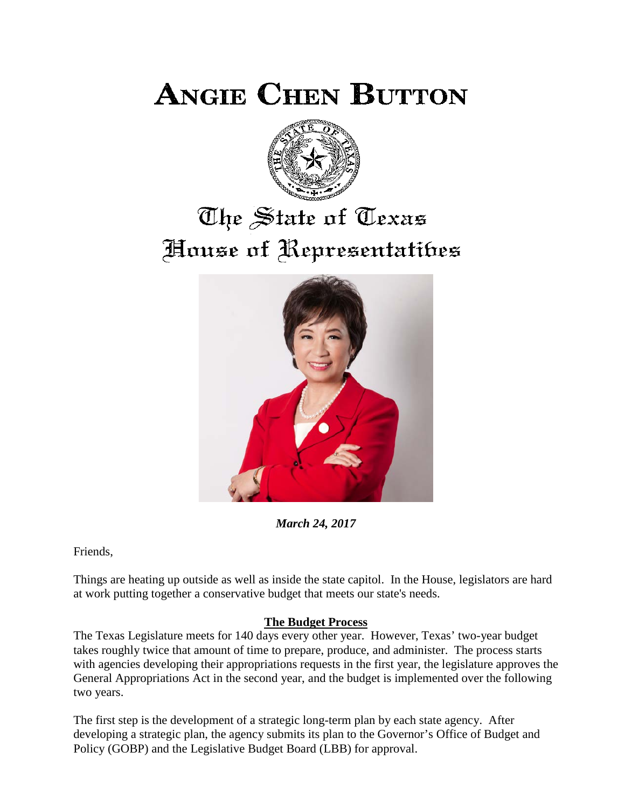**ANGIE CHEN BUTTON** 



## The State of Texas House of Representatibes



*March 24, 2017*

Friends,

Things are heating up outside as well as inside the state capitol. In the House, legislators are hard at work putting together a conservative budget that meets our state's needs.

## **The Budget Process**

The Texas Legislature meets for 140 days every other year. However, Texas' two-year budget takes roughly twice that amount of time to prepare, produce, and administer. The process starts with agencies developing their appropriations requests in the first year, the legislature approves the General Appropriations Act in the second year, and the budget is implemented over the following two years.

The first step is the development of a strategic long-term plan by each state agency. After developing a strategic plan, the agency submits its plan to the Governor's Office of Budget and Policy (GOBP) and the Legislative Budget Board (LBB) for approval.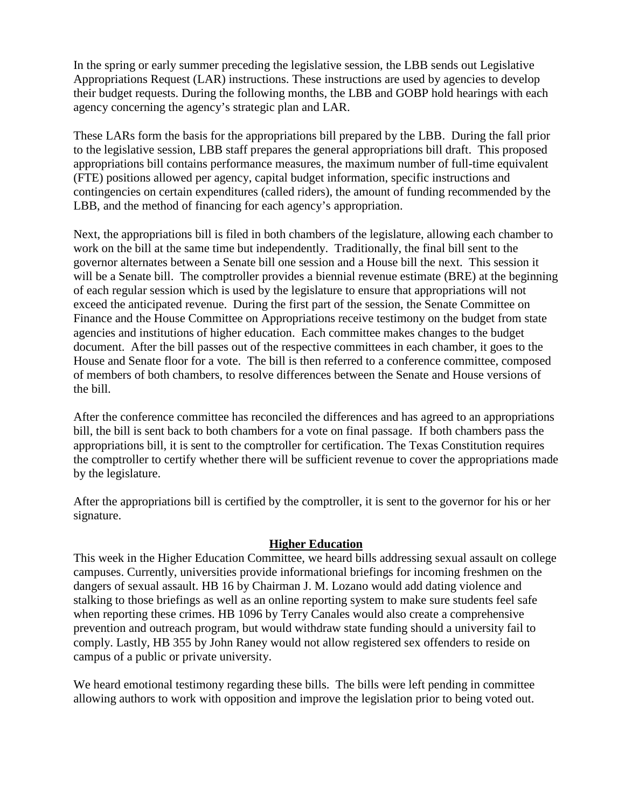In the spring or early summer preceding the legislative session, the LBB sends out Legislative Appropriations Request (LAR) instructions. These instructions are used by agencies to develop their budget requests. During the following months, the LBB and GOBP hold hearings with each agency concerning the agency's strategic plan and LAR.

These LARs form the basis for the appropriations bill prepared by the LBB. During the fall prior to the legislative session, LBB staff prepares the general appropriations bill draft. This proposed appropriations bill contains performance measures, the maximum number of full-time equivalent (FTE) positions allowed per agency, capital budget information, specific instructions and contingencies on certain expenditures (called riders), the amount of funding recommended by the LBB, and the method of financing for each agency's appropriation.

Next, the appropriations bill is filed in both chambers of the legislature, allowing each chamber to work on the bill at the same time but independently. Traditionally, the final bill sent to the governor alternates between a Senate bill one session and a House bill the next. This session it will be a Senate bill. The comptroller provides a biennial revenue estimate (BRE) at the beginning of each regular session which is used by the legislature to ensure that appropriations will not exceed the anticipated revenue. During the first part of the session, the Senate Committee on Finance and the House Committee on Appropriations receive testimony on the budget from state agencies and institutions of higher education. Each committee makes changes to the budget document. After the bill passes out of the respective committees in each chamber, it goes to the House and Senate floor for a vote. The bill is then referred to a conference committee, composed of members of both chambers, to resolve differences between the Senate and House versions of the bill.

After the conference committee has reconciled the differences and has agreed to an appropriations bill, the bill is sent back to both chambers for a vote on final passage. If both chambers pass the appropriations bill, it is sent to the comptroller for certification. The Texas Constitution requires the comptroller to certify whether there will be sufficient revenue to cover the appropriations made by the legislature.

After the appropriations bill is certified by the comptroller, it is sent to the governor for his or her signature.

## **Higher Education**

This week in the Higher Education Committee, we heard bills addressing sexual assault on college campuses. Currently, universities provide informational briefings for incoming freshmen on the dangers of sexual assault. HB 16 by Chairman J. M. Lozano would add dating violence and stalking to those briefings as well as an online reporting system to make sure students feel safe when reporting these crimes. HB 1096 by Terry Canales would also create a comprehensive prevention and outreach program, but would withdraw state funding should a university fail to comply. Lastly, HB 355 by John Raney would not allow registered sex offenders to reside on campus of a public or private university.

We heard emotional testimony regarding these bills. The bills were left pending in committee allowing authors to work with opposition and improve the legislation prior to being voted out.